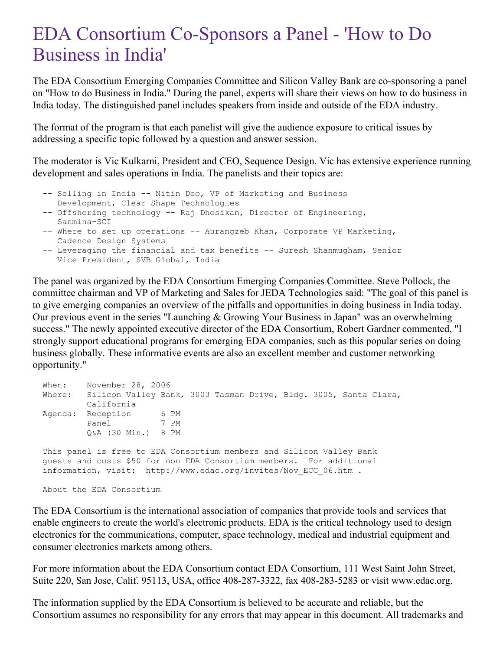## EDA Consortium Co-Sponsors a Panel - 'How to Do Business in India'

The EDA Consortium Emerging Companies Committee and Silicon Valley Bank are co-sponsoring a panel on "How to do Business in India." During the panel, experts will share their views on how to do business in India today. The distinguished panel includes speakers from inside and outside of the EDA industry.

The format of the program is that each panelist will give the audience exposure to critical issues by addressing a specific topic followed by a question and answer session.

The moderator is Vic Kulkarni, President and CEO, Sequence Design. Vic has extensive experience running development and sales operations in India. The panelists and their topics are:

```
-- Selling in India -- Nitin Deo, VP of Marketing and Business
   Development, Clear Shape Technologies
-- Offshoring technology -- Raj Dhesikan, Director of Engineering,
```

```
Sanmina-SCI
```

```
-- Where to set up operations -- Aurangzeb Khan, Corporate VP Marketing,
  Cadence Design Systems
```

```
-- Leveraging the financial and tax benefits -- Suresh Shanmugham, Senior
  Vice President, SVB Global, India
```
The panel was organized by the EDA Consortium Emerging Companies Committee. Steve Pollock, the committee chairman and VP of Marketing and Sales for JEDA Technologies said: "The goal of this panel is to give emerging companies an overview of the pitfalls and opportunities in doing business in India today. Our previous event in the series "Launching & Growing Your Business in Japan" was an overwhelming success." The newly appointed executive director of the EDA Consortium, Robert Gardner commented, "I strongly support educational programs for emerging EDA companies, such as this popular series on doing business globally. These informative events are also an excellent member and customer networking opportunity."

```
When: November 28, 2006
Where: Silicon Valley Bank, 3003 Tasman Drive, Bldg. 3005, Santa Clara,
       California
Agenda: Reception 6 PM
       Panel 7 PM
        Q&A (30 Min.) 8 PM
This panel is free to EDA Consortium members and Silicon Valley Bank
guests and costs $50 for non EDA Consortium members. For additional
information, visit: http://www.edac.org/invites/Nov_ECC_06.htm .
```
About the EDA Consortium

The EDA Consortium is the international association of companies that provide tools and services that enable engineers to create the world's electronic products. EDA is the critical technology used to design electronics for the communications, computer, space technology, medical and industrial equipment and consumer electronics markets among others.

For more information about the EDA Consortium contact EDA Consortium, 111 West Saint John Street, Suite 220, San Jose, Calif. 95113, USA, office 408-287-3322, fax 408-283-5283 or visit www.edac.org.

The information supplied by the EDA Consortium is believed to be accurate and reliable, but the Consortium assumes no responsibility for any errors that may appear in this document. All trademarks and